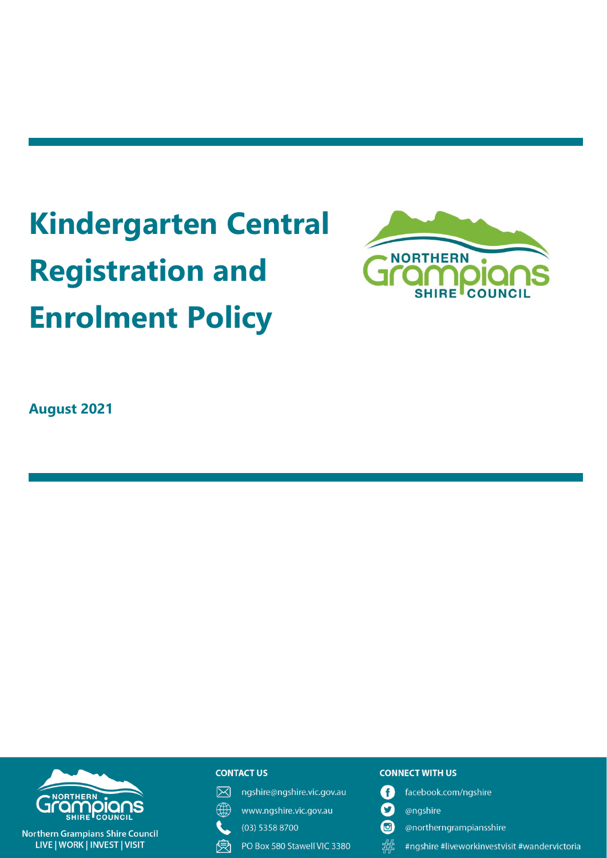# **Kindergarten Central Registration and Enrolment Policy**



**August 2021**



**Northern Grampians Shire Council** LIVE | WORK | INVEST | VISIT

#### **CONTACT US**

- ngshire@ngshire.vic.gov.au  $\boxtimes$
- $\mathbb{R}$ www.ngshire.vic.gov.au

精

- $(03)$  5358 8700
	- PO Box 580 Stawell VIC 3380

#### **CONNECT WITH US**

- facebook.com/ngshire ß
- Ø @ngshire

╬

- $\mathbf{G}$ @northerngrampiansshire
	- #ngshire #liveworkinvestvisit #wandervictoria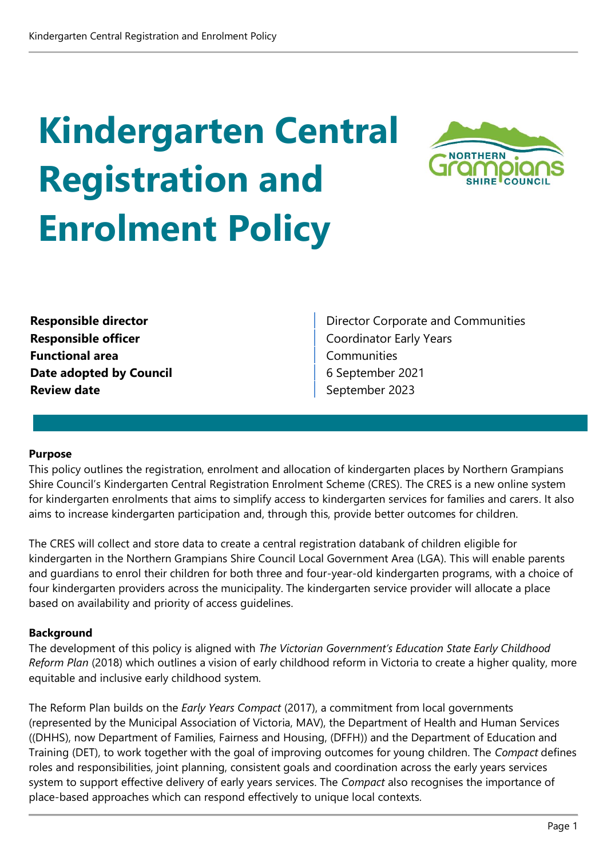# **Kindergarten Central Registration and Enrolment Policy**



**Responsible officer** Coordinator Early Years **Functional area Communities Date adopted by Council Council 6** September 2021 **Review date** September 2023

**Responsible director Communities Responsible director Director Corporate and Communities** 

#### **Purpose**

This policy outlines the registration, enrolment and allocation of kindergarten places by Northern Grampians Shire Council's Kindergarten Central Registration Enrolment Scheme (CRES). The CRES is a new online system for kindergarten enrolments that aims to simplify access to kindergarten services for families and carers. It also aims to increase kindergarten participation and, through this, provide better outcomes for children.

The CRES will collect and store data to create a central registration databank of children eligible for kindergarten in the Northern Grampians Shire Council Local Government Area (LGA). This will enable parents and guardians to enrol their children for both three and four-year-old kindergarten programs, with a choice of four kindergarten providers across the municipality. The kindergarten service provider will allocate a place based on availability and priority of access guidelines.

#### **Background**

The development of this policy is aligned with *The Victorian Government's Education State Early Childhood Reform Plan* (2018) which outlines a vision of early childhood reform in Victoria to create a higher quality, more equitable and inclusive early childhood system.

The Reform Plan builds on the *Early Years Compact* (2017), a commitment from local governments (represented by the Municipal Association of Victoria, MAV), the Department of Health and Human Services ((DHHS), now Department of Families, Fairness and Housing, (DFFH)) and the Department of Education and Training (DET), to work together with the goal of improving outcomes for young children. The *Compact* defines roles and responsibilities, joint planning, consistent goals and coordination across the early years services system to support effective delivery of early years services. The *Compact* also recognises the importance of place-based approaches which can respond effectively to unique local contexts.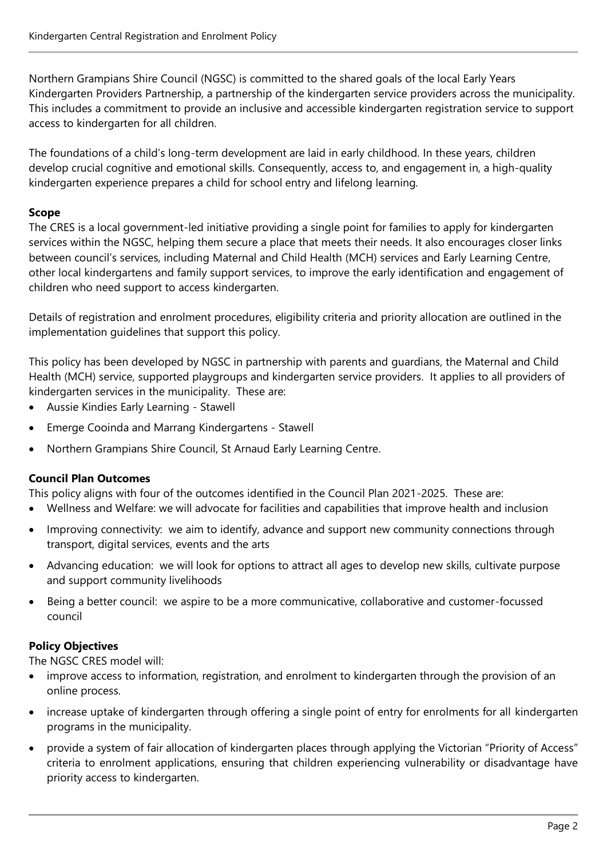Northern Grampians Shire Council (NGSC) is committed to the shared goals of the local Early Years Kindergarten Providers Partnership, a partnership of the kindergarten service providers across the municipality. This includes a commitment to provide an inclusive and accessible kindergarten registration service to support access to kindergarten for all children.

The foundations of a child's long-term development are laid in early childhood. In these years, children develop crucial cognitive and emotional skills. Consequently, access to, and engagement in, a high-quality kindergarten experience prepares a child for school entry and lifelong learning.

#### **Scope**

The CRES is a local government-led initiative providing a single point for families to apply for kindergarten services within the NGSC, helping them secure a place that meets their needs. It also encourages closer links between council's services, including Maternal and Child Health (MCH) services and Early Learning Centre, other local kindergartens and family support services, to improve the early identification and engagement of children who need support to access kindergarten.

Details of registration and enrolment procedures, eligibility criteria and priority allocation are outlined in the implementation guidelines that support this policy.

This policy has been developed by NGSC in partnership with parents and guardians, the Maternal and Child Health (MCH) service, supported playgroups and kindergarten service providers. It applies to all providers of kindergarten services in the municipality. These are:

- Aussie Kindies Early Learning Stawell
- Emerge Cooinda and Marrang Kindergartens Stawell
- Northern Grampians Shire Council, St Arnaud Early Learning Centre.

#### **Council Plan Outcomes**

This policy aligns with four of the outcomes identified in the Council Plan 2021-2025. These are:

- Wellness and Welfare: we will advocate for facilities and capabilities that improve health and inclusion
- Improving connectivity: we aim to identify, advance and support new community connections through transport, digital services, events and the arts
- Advancing education: we will look for options to attract all ages to develop new skills, cultivate purpose and support community livelihoods
- Being a better council: we aspire to be a more communicative, collaborative and customer-focussed council

#### **Policy Objectives**

The NGSC CRES model will:

- improve access to information, registration, and enrolment to kindergarten through the provision of an online process.
- increase uptake of kindergarten through offering a single point of entry for enrolments for all kindergarten programs in the municipality.
- provide a system of fair allocation of kindergarten places through applying the Victorian "Priority of Access" criteria to enrolment applications, ensuring that children experiencing vulnerability or disadvantage have priority access to kindergarten.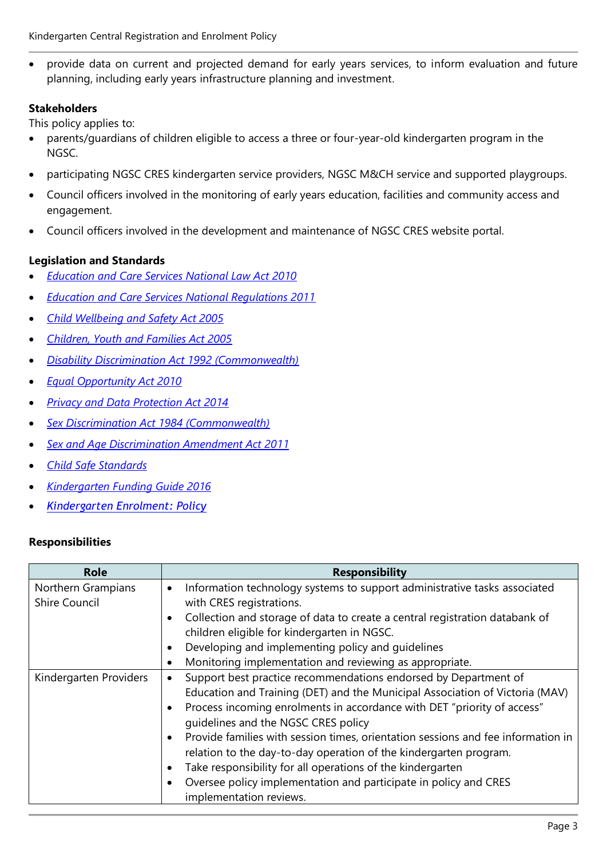• provide data on current and projected demand for early years services, to inform evaluation and future planning, including early years infrastructure planning and investment.

#### **Stakeholders**

This policy applies to:

- parents/guardians of children eligible to access a three or four-year-old kindergarten program in the NGSC.
- participating NGSC CRES kindergarten service providers, NGSC M&CH service and supported playgroups.
- Council officers involved in the monitoring of early years education, facilities and community access and engagement.
- Council officers involved in the development and maintenance of NGSC CRES website portal.

#### **Legislation and Standards**

- *[Education and Care Services National Law Act 2010](http://www.legislation.vic.gov.au/)*
- *[Education and Care Services National Regulations 2011](http://www.legislation.vic.gov.au/)*
- *[Child Wellbeing and Safety Act 2005](http://www.legislation.vic.gov.au/)*
- *[Children, Youth and Families Act 2005](http://www.legislation.vic.gov.au/)*
- *[Disability Discrimination Act 1992 \(Commonwealth\)](http://www.comlaw.gov.au/)*
- *[Equal Opportunity Act 2010](http://www.legislation.vic.gov.au/)*
- *[Privacy and Data Protection Act 2014](http://www.legislation.vic.gov.au/)*
- *[Sex Discrimination Act 1984 \(Commonwealth\)](http://www.comlaw.gov.au/)*
- *[Sex and Age Discrimination Amendment Act 2011](http://www.comlaw.gov.au/)*
- *[Child Safe Standards](http://www.legislation.vic.gov.au/)*
- *[Kindergarten Funding Guide 2016](https://www.education.vic.gov.au/)*
- *Kindergarten [Enrolment: Policy](https://www2.education.vic.gov.au/pal/enrolment/policy?Redirect=1)*

#### **Responsibilities**

| <b>Role</b>            | <b>Responsibility</b>                                                                                   |  |
|------------------------|---------------------------------------------------------------------------------------------------------|--|
| Northern Grampians     | Information technology systems to support administrative tasks associated<br>$\bullet$                  |  |
| <b>Shire Council</b>   | with CRES registrations.<br>Collection and storage of data to create a central registration databank of |  |
|                        |                                                                                                         |  |
|                        | children eligible for kindergarten in NGSC.                                                             |  |
|                        | Developing and implementing policy and guidelines                                                       |  |
|                        | Monitoring implementation and reviewing as appropriate.<br>$\bullet$                                    |  |
| Kindergarten Providers | Support best practice recommendations endorsed by Department of<br>$\bullet$                            |  |
|                        | Education and Training (DET) and the Municipal Association of Victoria (MAV)                            |  |
|                        | Process incoming enrolments in accordance with DET "priority of access"<br>$\bullet$                    |  |
|                        | quidelines and the NGSC CRES policy                                                                     |  |
|                        | Provide families with session times, orientation sessions and fee information in<br>$\bullet$           |  |
|                        | relation to the day-to-day operation of the kindergarten program.                                       |  |
|                        | Take responsibility for all operations of the kindergarten                                              |  |
|                        | Oversee policy implementation and participate in policy and CRES                                        |  |
|                        | implementation reviews.                                                                                 |  |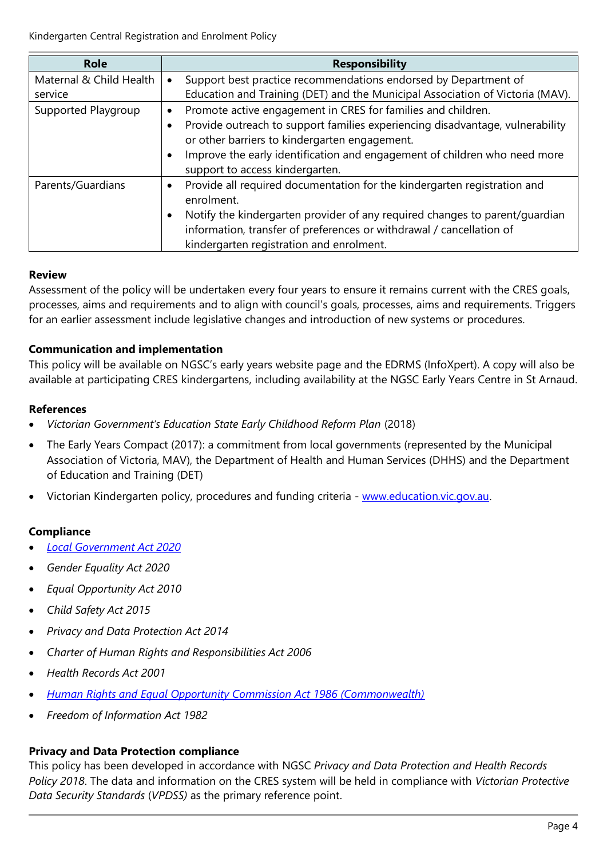Kindergarten Central Registration and Enrolment Policy

| <b>Role</b>             | <b>Responsibility</b>                                                                                                                              |  |
|-------------------------|----------------------------------------------------------------------------------------------------------------------------------------------------|--|
| Maternal & Child Health | Support best practice recommendations endorsed by Department of                                                                                    |  |
| service                 | Education and Training (DET) and the Municipal Association of Victoria (MAV).                                                                      |  |
| Supported Playgroup     | Promote active engagement in CRES for families and children.<br>٠<br>Provide outreach to support families experiencing disadvantage, vulnerability |  |
|                         |                                                                                                                                                    |  |
|                         | or other barriers to kindergarten engagement.                                                                                                      |  |
|                         | Improve the early identification and engagement of children who need more<br>$\bullet$                                                             |  |
|                         | support to access kindergarten.                                                                                                                    |  |
| Parents/Guardians       | Provide all required documentation for the kindergarten registration and<br>$\bullet$                                                              |  |
|                         | enrolment.                                                                                                                                         |  |
|                         | Notify the kindergarten provider of any required changes to parent/quardian<br>$\bullet$                                                           |  |
|                         | information, transfer of preferences or withdrawal / cancellation of                                                                               |  |
|                         | kindergarten registration and enrolment.                                                                                                           |  |

#### **Review**

Assessment of the policy will be undertaken every four years to ensure it remains current with the CRES goals, processes, aims and requirements and to align with council's goals, processes, aims and requirements. Triggers for an earlier assessment include legislative changes and introduction of new systems or procedures.

#### **Communication and implementation**

This policy will be available on NGSC's early years website page and the EDRMS (InfoXpert). A copy will also be available at participating CRES kindergartens, including availability at the NGSC Early Years Centre in St Arnaud.

#### **References**

- *Victorian Government's Education State Early Childhood Reform Plan* (2018)
- The Early Years Compact (2017): a commitment from local governments (represented by the Municipal Association of Victoria, MAV), the Department of Health and Human Services (DHHS) and the Department of Education and Training (DET)
- Victorian Kindergarten policy, procedures and funding criteria [www.education.vic.gov.au.](http://www.education.vic.gov.au/)

# **Compliance**

- *Local [Government Act 2020](http://www.legislation.vic.gov.au/)*
- *Gender Equality Act 2020*
- *Equal Opportunity Act 2010*
- *Child Safety Act 2015*
- *Privacy and Data Protection Act 2014*
- *Charter of Human Rights and Responsibilities Act 2006*
- *Health Records Act 2001*
- *[Human Rights and Equal Opportunity Commission Act 1986 \(Commonwealth\)](http://www.comlaw.gov.au/)*
- *Freedom of Information Act 1982*

# **Privacy and Data Protection compliance**

This policy has been developed in accordance with NGSC *Privacy and Data Protection and Health Records Policy 2018*. The data and information on the CRES system will be held in compliance with *Victorian Protective Data Security Standards* (*VPDSS)* as the primary reference point.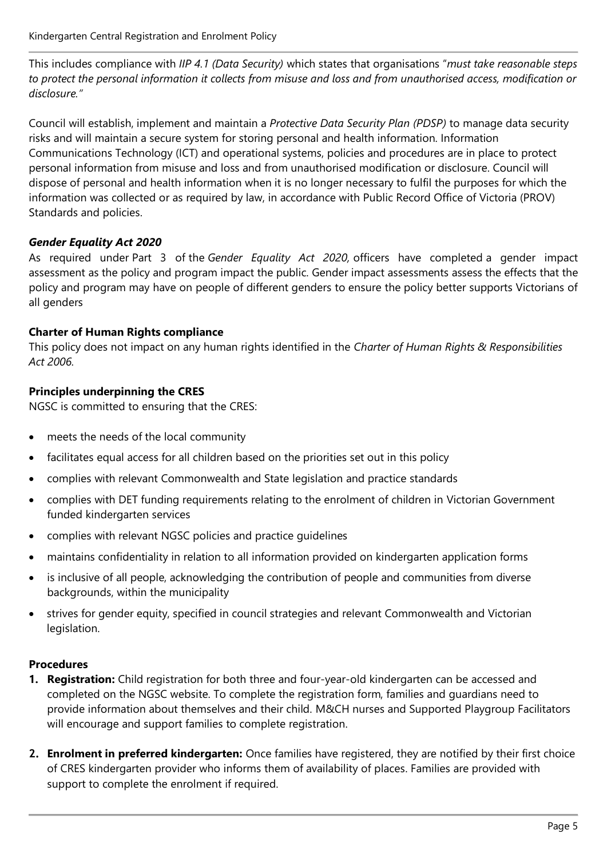This includes compliance with *IIP 4.1 (Data Security)* which states that organisations "*must take reasonable steps to protect the personal information it collects from misuse and loss and from unauthorised access, modification or disclosure."*

Council will establish, implement and maintain a *Protective Data Security Plan (PDSP)* to manage data security risks and will maintain a secure system for storing personal and health information. Information Communications Technology (ICT) and operational systems, policies and procedures are in place to protect personal information from misuse and loss and from unauthorised modification or disclosure. Council will dispose of personal and health information when it is no longer necessary to fulfil the purposes for which the information was collected or as required by law, in accordance with Public Record Office of Victoria (PROV) Standards and policies.

# *Gender Equality Act 2020*

As required under Part 3 of the *Gender Equality Act 2020,* officers have completed a gender impact assessment as the policy and program impact the public. Gender impact assessments assess the effects that the policy and program may have on people of different genders to ensure the policy better supports Victorians of all genders

# **[Charter of Human Rights compliance](https://docs.google.com/document/d/1xVApwCaJE7s9GF9Y4oaxEACY3YpO_JKv36vJJibCZhs/edit)**

This policy does not impact on any human rights identified in the *Charter of Human Rights & Responsibilities Act 2006.*

# **Principles underpinning the CRES**

NGSC is committed to ensuring that the CRES:

- meets the needs of the local community
- facilitates equal access for all children based on the priorities set out in this policy
- complies with relevant Commonwealth and State legislation and practice standards
- complies with DET funding requirements relating to the enrolment of children in Victorian Government funded kindergarten services
- complies with relevant NGSC policies and practice guidelines
- maintains confidentiality in relation to all information provided on kindergarten application forms
- is inclusive of all people, acknowledging the contribution of people and communities from diverse backgrounds, within the municipality
- strives for gender equity, specified in council strategies and relevant Commonwealth and Victorian legislation.

#### **Procedures**

- **1. Registration:** Child registration for both three and four-year-old kindergarten can be accessed and completed on the NGSC website. To complete the registration form, families and guardians need to provide information about themselves and their child. M&CH nurses and Supported Playgroup Facilitators will encourage and support families to complete registration.
- **2. Enrolment in preferred kindergarten:** Once families have registered, they are notified by their first choice of CRES kindergarten provider who informs them of availability of places. Families are provided with support to complete the enrolment if required.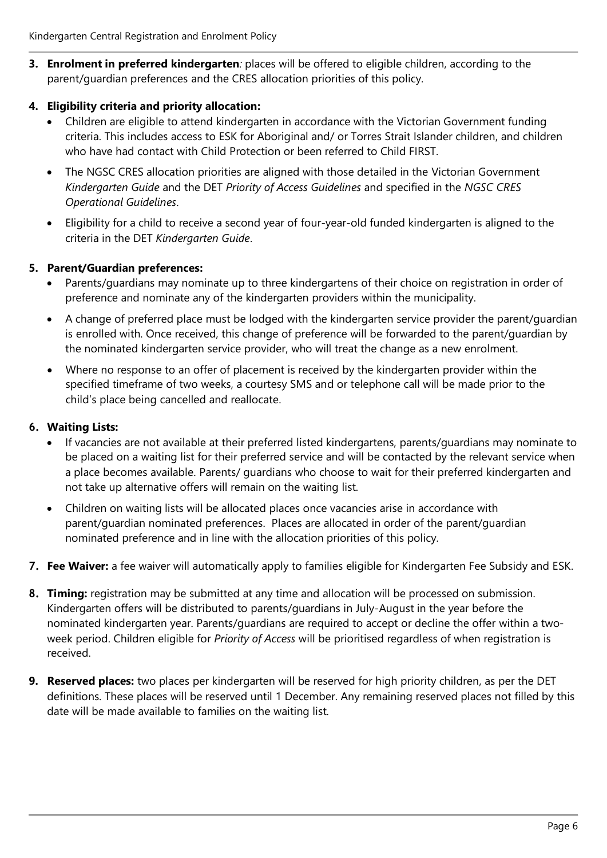**3. Enrolment in preferred kindergarten***:* places will be offered to eligible children, according to the parent/guardian preferences and the CRES allocation priorities of this policy.

# **4. Eligibility criteria and priority allocation:**

- Children are eligible to attend kindergarten in accordance with the Victorian Government funding criteria. This includes access to ESK for Aboriginal and/ or Torres Strait Islander children, and children who have had contact with Child Protection or been referred to Child FIRST.
- The NGSC CRES allocation priorities are aligned with those detailed in the Victorian Government *Kindergarten Guide* and the DET *Priority of Access Guidelines* and specified in the *NGSC CRES Operational Guidelines*.
- Eligibility for a child to receive a second year of four-year-old funded kindergarten is aligned to the criteria in the DET *Kindergarten Guide*.

# **5. Parent/Guardian preferences:**

- Parents/guardians may nominate up to three kindergartens of their choice on registration in order of preference and nominate any of the kindergarten providers within the municipality.
- A change of preferred place must be lodged with the kindergarten service provider the parent/guardian is enrolled with. Once received, this change of preference will be forwarded to the parent/guardian by the nominated kindergarten service provider, who will treat the change as a new enrolment.
- Where no response to an offer of placement is received by the kindergarten provider within the specified timeframe of two weeks, a courtesy SMS and or telephone call will be made prior to the child's place being cancelled and reallocate.

#### **6. Waiting Lists:**

- If vacancies are not available at their preferred listed kindergartens, parents/guardians may nominate to be placed on a waiting list for their preferred service and will be contacted by the relevant service when a place becomes available. Parents/ guardians who choose to wait for their preferred kindergarten and not take up alternative offers will remain on the waiting list.
- Children on waiting lists will be allocated places once vacancies arise in accordance with parent/guardian nominated preferences. Places are allocated in order of the parent/guardian nominated preference and in line with the allocation priorities of this policy.
- **7. Fee Waiver:** a fee waiver will automatically apply to families eligible for Kindergarten Fee Subsidy and ESK.
- **8. Timing:** registration may be submitted at any time and allocation will be processed on submission. Kindergarten offers will be distributed to parents/guardians in July-August in the year before the nominated kindergarten year. Parents/guardians are required to accept or decline the offer within a twoweek period. Children eligible for *Priority of Access* will be prioritised regardless of when registration is received.
- **9. Reserved places:** two places per kindergarten will be reserved for high priority children, as per the DET definitions. These places will be reserved until 1 December. Any remaining reserved places not filled by this date will be made available to families on the waiting list.